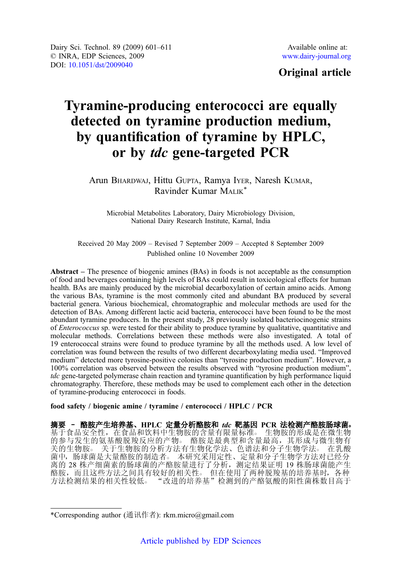# Original article

# Tyramine-producing enterococci are equally detected on tyramine production medium, by quantification of tyramine by HPLC, or by *tdc* gene-targeted PCR

Arun BHARDWAJ, Hittu GUPTA, Ramya IYER, Naresh KUMAR, Ravinder Kumar MALIK\*

Microbial Metabolites Laboratory, Dairy Microbiology Division, National Dairy Research Institute, Karnal, India

Received 20 May 2009 – Revised 7 September 2009 – Accepted 8 September 2009 Published online 10 November 2009

Abstract – The presence of biogenic amines (BAs) in foods is not acceptable as the consumption of food and beverages containing high levels of BAs could result in toxicological effects for human health. BAs are mainly produced by the microbial decarboxylation of certain amino acids. Among the various BAs, tyramine is the most commonly cited and abundant BA produced by several bacterial genera. Various biochemical, chromatographic and molecular methods are used for the detection of BAs. Among different lactic acid bacteria, enterococci have been found to be the most abundant tyramine producers. In the present study, 28 previously isolated bacteriocinogenic strains of *Enterococcus* sp. were tested for their ability to produce tyramine by qualitative, quantitative and molecular methods. Correlations between these methods were also investigated. A total of 19 enterococcal strains were found to produce tyramine by all the methods used. A low level of correlation was found between the results of two different decarboxylating media used. "Improved medium" detected more tyrosine-positive colonies than "tyrosine production medium". However, a 100% correlation was observed between the results observed with "tyrosine production medium", tdc gene-targeted polymerase chain reaction and tyramine quantification by high performance liquid chromatography. Therefore, these methods may be used to complement each other in the detection of tyramine-producing enterococci in foods.

food safety / biogenic amine / tyramine / enterococci / HPLC / PCR

摘要 - 酪胺产生培养基、HPLC 定量分析酪胺和 tdc 靶基因 PCR 法检测产酪胺肠球菌。 基于食品安全性,在食品和饮料中生物胺的含量有限量标准。 生物胺的形成是在微生物 的参与发生的氨基酸脱羧反应的产物。 酪胺是最典型和含量最高,其形成与微生物有 关的生物胺。 关于生物胺的分析方法有生物化学法、色谱法和分子生物学法。 在乳酸 菌中,肠球菌是大量酪胺的制造者。本研究采用定性、定量和分子生物学方法对已经分 离的 28 株产细菌素的肠球菌的产酪胺量进行了分析,测定结果证明 19 株肠球菌能产生 酪胺,而且这些方法之间具有较好的相关性。但在使用了两种脱羧基的培养基时,各种 方法检测结果的相关性较低。"改进的培养基"检测到的产酪氨酸的阳性菌株数目高于

<sup>\*</sup>Corresponding author (通讯作者): rkm.micro@gmail.com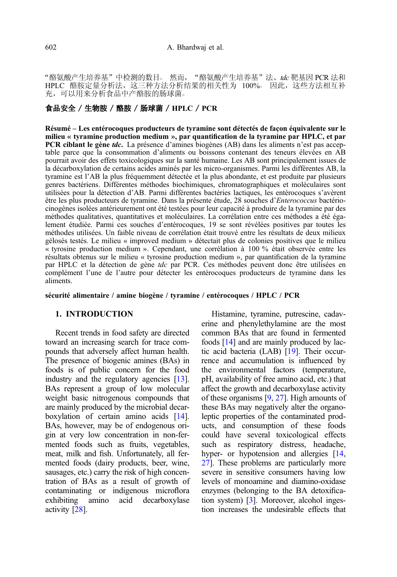"酪氨酸产生培养基"中检测的数目。然而, "酪氨酸产生培养基"法、tdc 靶基因 PCR 法和 HPLC 酪胺定量分析法,这三种方法分析结果的相关性为 100%。 因此, 这些方法相互补 充,可以用来分析食品中产酪胺的肠球菌。

# 食品安全 / 生物胺 / 酪胺 / 肠球菌 / HPLC / PCR

Résumé – Les entérocoques producteurs de tyramine sont détectés de façon équivalente sur le milieu « tyramine production medium », par quantification de la tyramine par HPLC, et par PCR ciblant le gène tdc. La présence d'amines biogènes (AB) dans les aliments n'est pas acceptable parce que la consommation d'aliments ou boissons contenant des teneurs élevées en AB pourrait avoir des effets toxicologiques sur la santé humaine. Les AB sont principalement issues de la décarboxylation de certains acides aminés par les micro-organismes. Parmi les différentes AB, la tyramine est l'AB la plus fréquemment détectée et la plus abondante, et est produite par plusieurs genres bactériens. Différentes méthodes biochimiques, chromatographiques et moléculaires sont utilisées pour la détection d'AB. Parmi différentes bactéries lactiques, les entérocoques s'avèrent être les plus producteurs de tyramine. Dans la présente étude, 28 souches d'*Enterococcus* bactériocinogènes isolées antérieurement ont été testées pour leur capacité à produire de la tyramine par des méthodes qualitatives, quantitatives et moléculaires. La corrélation entre ces méthodes a été également étudiée. Parmi ces souches d'entérocoques, 19 se sont révélées positives par toutes les méthodes utilisées. Un faible niveau de corrélation était trouvé entre les résultats de deux milieux gélosés testés. Le milieu « improved medium » détectait plus de colonies positives que le milieu « tyrosine production medium ». Cependant, une corrélation à 100 % était observée entre les résultats obtenus sur le milieu « tyrosine production medium », par quantification de la tyramine par HPLC et la détection de gène tdc par PCR. Ces méthodes peuvent donc être utilisées en complément l'une de l'autre pour détecter les entérocoques producteurs de tyramine dans les aliments.

sécurité alimentaire / amine biogène / tyramine / entérocoques / HPLC / PCR

#### 1. INTRODUCTION

Recent trends in food safety are directed toward an increasing search for trace compounds that adversely affect human health. The presence of biogenic amines (BAs) in foods is of public concern for the food industry and the regulatory agencies [\[13\]](#page-10-0). BAs represent a group of low molecular weight basic nitrogenous compounds that are mainly produced by the microbial decarboxylation of certain amino acids [\[14\]](#page-10-0). BAs, however, may be of endogenous origin at very low concentration in non-fermented foods such as fruits, vegetables, meat, milk and fish. Unfortunately, all fermented foods (dairy products, beer, wine, sausages, etc.) carry the risk of high concentration of BAs as a result of growth of contaminating or indigenous microflora exhibiting amino acid decarboxylase activity [\[28\]](#page-10-0).

Histamine, tyramine, putrescine, cadaverine and phenylethylamine are the most common BAs that are found in fermented foods [\[14\]](#page-10-0) and are mainly produced by lactic acid bacteria (LAB) [[19](#page-10-0)]. Their occurrence and accumulation is influenced by the environmental factors (temperature, pH, availability of free amino acid, etc.) that affect the growth and decarboxylase activity of these organisms [\[9,](#page-9-0) [27\]](#page-10-0). High amounts of these BAs may negatively alter the organoleptic properties of the contaminated products, and consumption of these foods could have several toxicological effects such as respiratory distress, headache, hyper- or hypotension and allergies [\[14](#page-10-0), [27](#page-10-0)]. These problems are particularly more severe in sensitive consumers having low levels of monoamine and diamino-oxidase enzymes (belonging to the BA detoxification system) [\[3](#page-9-0)]. Moreover, alcohol ingestion increases the undesirable effects that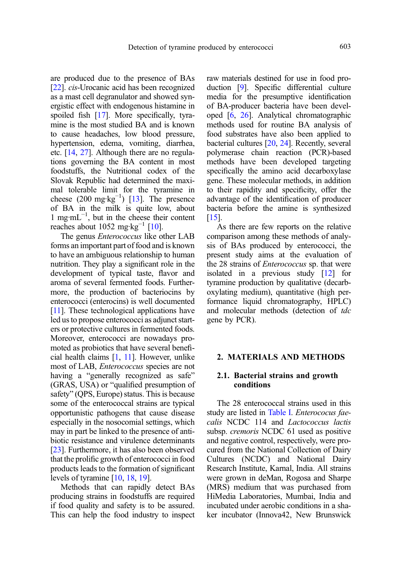are produced due to the presence of BAs [[22](#page-10-0)]. *cis*-Urocanic acid has been recognized as a mast cell degranulator and showed synergistic effect with endogenous histamine in spoiled fish [[17](#page-10-0)]. More specifically, tyramine is the most studied BA and is known to cause headaches, low blood pressure, hypertension, edema, vomiting, diarrhea, etc. [\[14,](#page-10-0) [27](#page-10-0)]. Although there are no regulations governing the BA content in most foodstuffs, the Nutritional codex of the Slovak Republic had determined the maximal tolerable limit for the tyramine in cheese  $(200 \text{ mg} \cdot \text{kg}^{-1})$  [\[13\]](#page-10-0). The presence of BA in the milk is quite low, about 1 mg·mL−<sup>1</sup> , but in the cheese their content reaches about 1052 mg·kg<sup>-1</sup> [\[10\]](#page-9-0).

The genus *Enterococcus* like other LAB forms an important part of food and is known to have an ambiguous relationship to human nutrition. They play a significant role in the development of typical taste, flavor and aroma of several fermented foods. Furthermore, the production of bacteriocins by enterococci (enterocins) is well documented [[11\]](#page-10-0). These technological applications have led us to propose enterococci as adjunct starters or protective cultures in fermented foods. Moreover, enterococci are nowadays promoted as probiotics that have several beneficial health claims [\[1](#page-9-0), [11\]](#page-10-0). However, unlike most of LAB, Enterococcus species are not having a "generally recognized as safe" (GRAS, USA) or "qualified presumption of safety" (QPS, Europe) status. This is because some of the enterococcal strains are typical opportunistic pathogens that cause disease especially in the nosocomial settings, which may in part be linked to the presence of antibiotic resistance and virulence determinants [[23](#page-10-0)]. Furthermore, it has also been observed that the prolific growth of enterococci in food products leads to the formation of significant levels of tyramine [\[10](#page-9-0), [18,](#page-10-0) [19](#page-10-0)].

Methods that can rapidly detect BAs producing strains in foodstuffs are required if food quality and safety is to be assured. This can help the food industry to inspect raw materials destined for use in food production [[9\]](#page-9-0). Specific differential culture media for the presumptive identification of BA-producer bacteria have been developed [\[6,](#page-9-0) [26](#page-10-0)]. Analytical chromatographic methods used for routine BA analysis of food substrates have also been applied to bacterial cultures [\[20,](#page-10-0) [24\]](#page-10-0). Recently, several polymerase chain reaction (PCR)-based methods have been developed targeting specifically the amino acid decarboxylase gene. These molecular methods, in addition to their rapidity and specificity, offer the advantage of the identification of producer bacteria before the amine is synthesized [[15\]](#page-10-0).

As there are few reports on the relative comparison among these methods of analysis of BAs produced by enterococci, the present study aims at the evaluation of the 28 strains of Enterococcus sp. that were isolated in a previous study [\[12\]](#page-10-0) for tyramine production by qualitative (decarboxylating medium), quantitative (high performance liquid chromatography, HPLC) and molecular methods (detection of tdc gene by PCR).

#### 2. MATERIALS AND METHODS

#### 2.1. Bacterial strains and growth conditions

The 28 enterococcal strains used in this study are listed in [Table I](#page-3-0). Enterococus faecalis NCDC 114 and Lactococcus lactis subsp. cremoris NCDC 61 used as positive and negative control, respectively, were procured from the National Collection of Dairy Cultures (NCDC) and National Dairy Research Institute, Karnal, India. All strains were grown in deMan, Rogosa and Sharpe (MRS) medium that was purchased from HiMedia Laboratories, Mumbai, India and incubated under aerobic conditions in a shaker incubator (Innova42, New Brunswick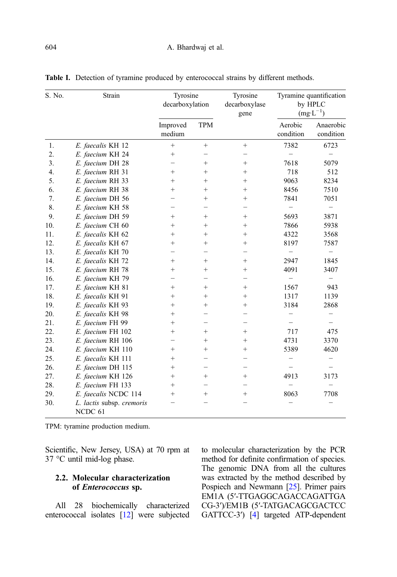| S. No. | Strain                               | Tyrosine<br>decarboxylation |            | Tyrosine<br>decarboxylase<br>gene | Tyramine quantification<br>by HPLC<br>$(mg \cdot L^{-1})$ |                        |
|--------|--------------------------------------|-----------------------------|------------|-----------------------------------|-----------------------------------------------------------|------------------------|
|        |                                      | Improved<br>medium          | <b>TPM</b> |                                   | Aerobic<br>condition                                      | Anaerobic<br>condition |
| 1.     | E. faecalis KH 12                    | $\ddot{}$                   | $\ddot{}$  | $\ddot{}$                         | 7382                                                      | 6723                   |
| 2.     | E. faecium KH 24                     | $^{+}$                      |            |                                   |                                                           |                        |
| 3.     | E. faecium DH 28                     |                             | $\ddot{}$  | $^{+}$                            | 7618                                                      | 5079                   |
| 4.     | E. faecium RH 31                     | $\ddot{}$                   | $\ddot{}$  | $^{+}$                            | 718                                                       | 512                    |
| 5.     | E. faecium RH 33                     | $\ddot{}$                   | $\ddot{}$  | $\ddot{}$                         | 9063                                                      | 8234                   |
| 6.     | E. faecium RH 38                     | $^{+}$                      | $\ddot{}$  | $\ddot{}$                         | 8456                                                      | 7510                   |
| 7.     | E. faecium DH 56                     |                             | $\ddot{}$  | $\ddot{}$                         | 7841                                                      | 7051                   |
| 8.     | E. faecium KH 58                     |                             |            |                                   | $\equiv$                                                  | $\equiv$               |
| 9.     | E. faecium DH 59                     | $\ddot{}$                   | $\ddot{}$  | $\ddot{}$                         | 5693                                                      | 3871                   |
| 10.    | E. faecium CH 60                     | $\ddot{}$                   | $\ddot{}$  | $^{+}$                            | 7866                                                      | 5938                   |
| 11.    | E. faecalis KH 62                    | $^{+}$                      | $\ddot{}$  | $\ddot{}$                         | 4322                                                      | 3568                   |
| 12.    | E. faecalis KH 67                    | $\ddot{}$                   | $+$        | $\ddot{}$                         | 8197                                                      | 7587                   |
| 13.    | E. faecalis KH 70                    |                             |            |                                   |                                                           |                        |
| 14.    | E. faecalis KH 72                    | $\ddot{}$                   | $+$        | $\ddot{}$                         | 2947                                                      | 1845                   |
| 15.    | E. faecium RH 78                     | $^{+}$                      | $\ddot{}$  | $^{+}$                            | 4091                                                      | 3407                   |
| 16.    | E. faecium KH 79                     |                             |            |                                   |                                                           |                        |
| 17.    | E. faecium KH 81                     | $^{+}$                      | $\ddot{}$  | $^{+}$                            | 1567                                                      | 943                    |
| 18.    | E. faecalis KH 91                    | $^{+}$                      | $^{+}$     | $^{+}$                            | 1317                                                      | 1139                   |
| 19.    | E. faecalis KH 93                    | $\ddot{}$                   | $\ddot{}$  | $^{+}$                            | 3184                                                      | 2868                   |
| 20.    | E. faecalis KH 98                    | $^{+}$                      |            |                                   |                                                           |                        |
| 21.    | E. faecium FH 99                     | $^{+}$                      |            |                                   |                                                           |                        |
| 22.    | E. faecium FH 102                    | $^{+}$                      | $^{+}$     | $^{+}$                            | 717                                                       | 475                    |
| 23.    | E. faecium RH 106                    |                             | $^{+}$     | $^{+}$                            | 4731                                                      | 3370                   |
| 24.    | E. faecium KH 110                    | $^{+}$                      | $\ddot{}$  | $^{+}$                            | 5389                                                      | 4620                   |
| 25.    | E. faecalis KH 111                   | $\ddot{}$                   |            |                                   |                                                           |                        |
| 26.    | E. faecium DH 115                    | $\ddot{}$                   |            |                                   |                                                           |                        |
| 27.    | E. faecium KH 126                    | $^{+}$                      | $^{+}$     | $^{+}$                            | 4913                                                      | 3173                   |
| 28.    | E. faecium FH 133                    | $\ddot{}$                   |            |                                   |                                                           |                        |
| 29.    | E. faecalis NCDC 114                 | $\ddot{}$                   | $^{+}$     | $\! + \!$                         | 8063                                                      | 7708                   |
| 30.    | L. lactis subsp. cremoris<br>NCDC 61 |                             |            |                                   |                                                           |                        |

<span id="page-3-0"></span>Table I. Detection of tyramine produced by enterococcal strains by different methods.

TPM: tyramine production medium.

Scientific, New Jersey, USA) at 70 rpm at 37 °C until mid-log phase.

# 2.2. Molecular characterization of Enterococcus sp.

All 28 biochemically characterized enterococcal isolates [\[12](#page-10-0)] were subjected to molecular characterization by the PCR method for definite confirmation of species. The genomic DNA from all the cultures was extracted by the method described by Pospiech and Newmann [\[25](#page-10-0)]. Primer pairs EM1A (5′-TTGAGGCAGACCAGATTGA CG-3′)/EM1B (5′-TATGACAGCGACTCC GATTCC-3') [\[4](#page-9-0)] targeted ATP-dependent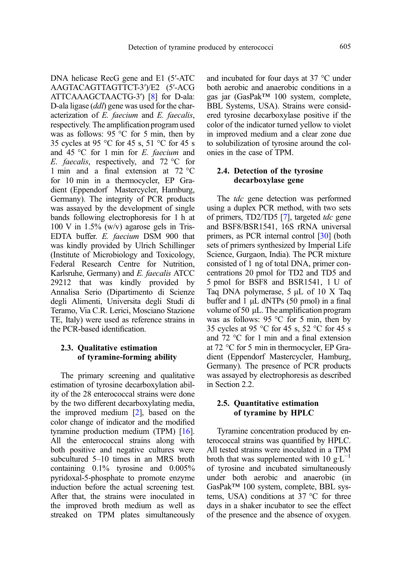DNA helicase RecG gene and E1 (5′-ATC AAGTACAGTTAGTTCT-3′)/E2 (5′-ACG ATTCAAAGCTAACTG-3′) [[8\]](#page-9-0) for D-ala: D-ala ligase (ddl) gene was used for the characterization of E. faecium and E. faecalis, respectively. The amplification program used was as follows: 95 °C for 5 min, then by 35 cycles at 95 °C for 45 s, 51 °C for 45 s and 45  $\degree$ C for 1 min for *E. faecium* and E. faecalis, respectively, and  $72 °C$  for 1 min and a final extension at 72 °C for 10 min in a thermocycler, EP Gradient (Eppendorf Mastercycler, Hamburg, Germany). The integrity of PCR products was assayed by the development of single bands following electrophoresis for 1 h at 100 V in  $1.5\%$  (w/v) agarose gels in Tris-EDTA buffer. E. faecium DSM 900 that was kindly provided by Ulrich Schillinger (Institute of Microbiology and Toxicology, Federal Research Centre for Nutrition, Karlsruhe, Germany) and E. faecalis ATCC 29212 that was kindly provided by Annalisa Serio (Dipartimento di Scienze degli Alimenti, Universita degli Studi di Teramo, Via C.R. Lerici, Mosciano Stazione TE, Italy) were used as reference strains in the PCR-based identification.

#### 2.3. Qualitative estimation of tyramine-forming ability

The primary screening and qualitative estimation of tyrosine decarboxylation ability of the 28 enterococcal strains were done by the two different decarboxylating media, the improved medium [\[2](#page-9-0)], based on the color change of indicator and the modified tyramine production medium (TPM) [\[16](#page-10-0)]. All the enterococcal strains along with both positive and negative cultures were subcultured 5–10 times in an MRS broth containing 0.1% tyrosine and 0.005% pyridoxal-5-phosphate to promote enzyme induction before the actual screening test. After that, the strains were inoculated in the improved broth medium as well as streaked on TPM plates simultaneously and incubated for four days at 37 °C under both aerobic and anaerobic conditions in a gas jar (GasPak™ 100 system, complete, BBL Systems, USA). Strains were considered tyrosine decarboxylase positive if the color of the indicator turned yellow to violet in improved medium and a clear zone due to solubilization of tyrosine around the colonies in the case of TPM.

## 2.4. Detection of the tyrosine decarboxylase gene

The *tdc* gene detection was performed using a duplex PCR method, with two sets of primers, TD2/TD5 [[7\]](#page-9-0), targeted *tdc* gene and BSF8/BSR1541, 16S rRNA universal primers, as PCR internal control [\[30](#page-10-0)] (both sets of primers synthesized by Imperial Life Science, Gurgaon, India). The PCR mixture consisted of 1 ng of total DNA, primer concentrations 20 pmol for TD2 and TD5 and 5 pmol for BSF8 and BSR1541, 1 U of Taq DNA polymerase, 5 μL of 10 X Taq buffer and  $1 \mu L$  dNTPs (50 pmol) in a final volume of 50 μL. The amplification program was as follows: 95 °C for 5 min, then by 35 cycles at 95 °C for 45 s, 52 °C for 45 s and 72 °C for 1 min and a final extension at 72 °C for 5 min in thermocycler, EP Gradient (Eppendorf Mastercycler, Hamburg, Germany). The presence of PCR products was assayed by electrophoresis as described in Section 2.2.

#### 2.5. Quantitative estimation of tyramine by HPLC

Tyramine concentration produced by enterococcal strains was quantified by HPLC. All tested strains were inoculated in a TPM broth that was supplemented with 10  $g \cdot L^{-1}$ of tyrosine and incubated simultaneously under both aerobic and anaerobic (in GasPak™ 100 system, complete, BBL systems, USA) conditions at 37 °C for three days in a shaker incubator to see the effect of the presence and the absence of oxygen.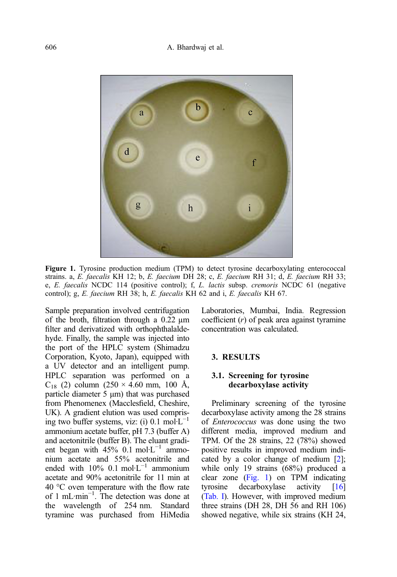

Figure 1. Tyrosine production medium (TPM) to detect tyrosine decarboxylating enterococcal strains. a, E. faecalis KH 12; b, E. faecium DH 28; c, E. faecium RH 31; d, E. faecium RH 33; e, E. faecalis NCDC 114 (positive control); f, L. lactis subsp. cremoris NCDC 61 (negative control); g, E. faecium RH 38; h, E. faecalis KH 62 and i, E. faecalis KH 67.

Sample preparation involved centrifugation of the broth, filtration through a 0.22 µm filter and derivatized with orthophthalaldehyde. Finally, the sample was injected into the port of the HPLC system (Shimadzu Corporation, Kyoto, Japan), equipped with a UV detector and an intelligent pump. HPLC separation was performed on a  $C_{18}$  (2) column (250 × 4.60 mm, 100 Å, particle diameter 5 μm) that was purchased from Phenomenex (Macclesfield, Cheshire, UK). A gradient elution was used comprising two buffer systems, viz: (i)  $0.1 \text{ mol} \cdot L^{-1}$ ammonium acetate buffer, pH 7.3 (buffer A) and acetonitrile (buffer B). The eluant gradient began with 45% 0.1 mol⋅L<sup>-1</sup> ammonium acetate and 55% acetonitrile and ended with  $10\%$  0.1 mol·L<sup>-1</sup> ammonium acetate and 90% acetonitrile for 11 min at 40 °C oven temperature with the flow rate of 1 mL·min−<sup>1</sup> . The detection was done at the wavelength of 254 nm. Standard tyramine was purchased from HiMedia Laboratories, Mumbai, India. Regression coefficient  $(r)$  of peak area against tyramine concentration was calculated.

#### 3. RESULTS

# 3.1. Screening for tyrosine decarboxylase activity

Preliminary screening of the tyrosine decarboxylase activity among the 28 strains of Enterococcus was done using the two different media, improved medium and TPM. Of the 28 strains, 22 (78%) showed positive results in improved medium indicated by a color change of medium [\[2\]](#page-9-0); while only 19 strains (68%) produced a clear zone (Fig. 1) on TPM indicating tyrosine decarboxylase activity [[16](#page-10-0)] ([Tab. I](#page-3-0)). However, with improved medium three strains (DH 28, DH 56 and RH 106) showed negative, while six strains (KH 24,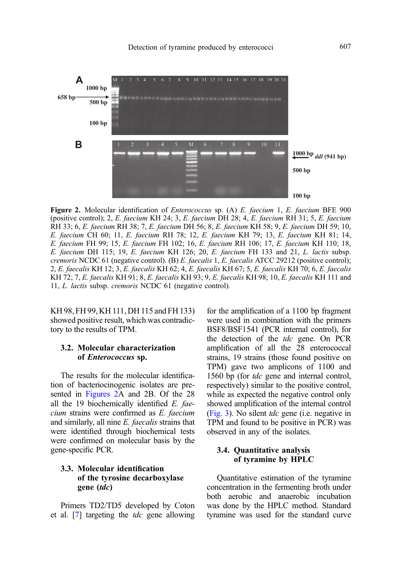

Figure 2. Molecular identification of *Enterococcus* sp. (A) E. faecium 1, E. faecium BFE 900 (positive control); 2, E. faecium KH 24; 3, E. faecium DH 28; 4, E. faecium RH 31; 5, E. faecium RH 33; 6, E. faecium RH 38; 7, E. faecium DH 56; 8, E. faecium KH 58; 9, E. faecium DH 59; 10, E. faecium CH 60; 11, E. faecium RH 78; 12, E. faecium KH 79; 13, E. faecium KH 81; 14, E. faecium FH 99; 15, E. faecium FH 102; 16, E. faecium RH 106; 17, E. faecium KH 110; 18, E. faecium DH 115; 19, E. faecium KH 126; 20, E. faecium FH 133 and 21, L. lactis subsp. cremoris NCDC 61 (negative control). (B) E. faecalis 1, E. faecalis ATCC 29212 (positive control); 2, E. faecalis KH 12; 3, E. faecalis KH 62; 4, E. faecalis KH 67; 5, E. faecalis KH 70; 6, E. faecalis KH 72; 7, E. faecalis KH 91; 8, E. faecalis KH 93; 9, E. faecalis KH 98; 10, E. faecalis KH 111 and 11, L. lactis subsp. cremoris NCDC 61 (negative control).

KH 98, FH 99, KH 111, DH 115 and FH 133) showed positive result, which was contradictory to the results of TPM.

#### 3.2. Molecular characterization of Enterococcus sp.

The results for the molecular identification of bacteriocinogenic isolates are presented in Figures 2A and 2B. Of the 28 all the 19 biochemically identified  $E$ . faecium strains were confirmed as E. faecium and similarly, all nine E. faecalis strains that were identified through biochemical tests were confirmed on molecular basis by the gene-specific PCR.

# 3.3. Molecular identification of the tyrosine decarboxylase gene (tdc)

Primers TD2/TD5 developed by Coton et al.  $[7]$  $[7]$  targeting the *tdc* gene allowing for the amplification of a 1100 bp fragment were used in combination with the primers BSF8/BSF1541 (PCR internal control), for the detection of the tdc gene. On PCR amplification of all the 28 enterococcal strains, 19 strains (those found positive on TPM) gave two amplicons of 1100 and 1560 bp (for tdc gene and internal control, respectively) similar to the positive control, while as expected the negative control only showed amplification of the internal control ([Fig. 3\)](#page-7-0). No silent tdc gene (i.e. negative in TPM and found to be positive in PCR) was observed in any of the isolates.

## 3.4. Quantitative analysis of tyramine by HPLC

Quantitative estimation of the tyramine concentration in the fermenting broth under both aerobic and anaerobic incubation was done by the HPLC method. Standard tyramine was used for the standard curve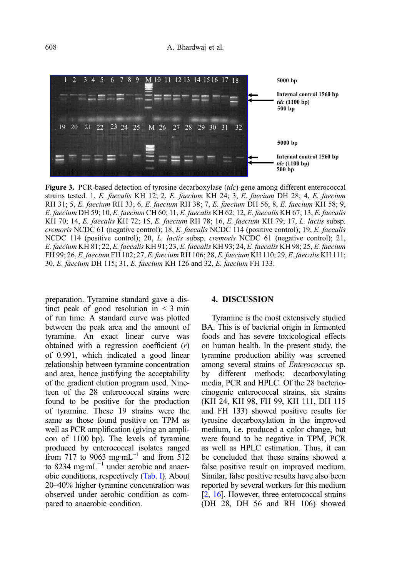<span id="page-7-0"></span>

Figure 3. PCR-based detection of tyrosine decarboxylase (tdc) gene among different enterococcal strains tested. 1, E. faecalis KH 12; 2, E. faecium KH 24; 3, E. faecium DH 28; 4, E. faecium RH 31; 5, E. faecium RH 33; 6, E. faecium RH 38; 7, E. faecium DH 56; 8, E. faecium KH 58; 9, E. faecium DH 59; 10, E. faecium CH 60; 11, E. faecalis KH 62; 12, E. faecalis KH 67; 13, E. faecalis KH 70; 14, E. faecalis KH 72; 15, E. faecium RH 78; 16, E. faecium KH 79; 17, L. lactis subsp. cremoris NCDC 61 (negative control); 18, E. faecalis NCDC 114 (positive control); 19, E. faecalis NCDC 114 (positive control); 20, L. lactis subsp. cremoris NCDC 61 (negative control); 21, E. faecium KH 81; 22, E. faecalis KH 91; 23, E. faecalis KH 93; 24, E. faecalis KH 98; 25, E. faecium FH 99; 26, E. faecium FH 102; 27, E. faecium RH 106; 28, E. faecium KH 110; 29, E. faecalis KH 111; 30, E. faecium DH 115; 31, E. faecium KH 126 and 32, E. faecium FH 133.

preparation. Tyramine standard gave a distinct peak of good resolution in  $\leq$  3 min of run time. A standard curve was plotted between the peak area and the amount of tyramine. An exact linear curve was obtained with a regression coefficient  $(r)$ of 0.991, which indicated a good linear relationship between tyramine concentration and area, hence justifying the acceptability of the gradient elution program used. Nineteen of the 28 enterococcal strains were found to be positive for the production of tyramine. These 19 strains were the same as those found positive on TPM as well as PCR amplification (giving an amplicon of 1100 bp). The levels of tyramine produced by enterococcal isolates ranged from 717 to 9063 mg·mL<sup>-1</sup> and from 512 to 8234 mg·m $L^{-1}$  under aerobic and anaerobic conditions, respectively ([Tab. I](#page-3-0)). About 20–40% higher tyramine concentration was observed under aerobic condition as compared to anaerobic condition.

#### 4. DISCUSSION

Tyramine is the most extensively studied BA. This is of bacterial origin in fermented foods and has severe toxicological effects on human health. In the present study, the tyramine production ability was screened among several strains of Enterococcus sp. by different methods: decarboxylating media, PCR and HPLC. Of the 28 bacteriocinogenic enterococcal strains, six strains (KH 24, KH 98, FH 99, KH 111, DH 115 and FH 133) showed positive results for tyrosine decarboxylation in the improved medium, i.e. produced a color change, but were found to be negative in TPM, PCR as well as HPLC estimation. Thus, it can be concluded that these strains showed a false positive result on improved medium. Similar, false positive results have also been reported by several workers for this medium [[2](#page-9-0), [16\]](#page-10-0). However, three enterococcal strains (DH 28, DH 56 and RH 106) showed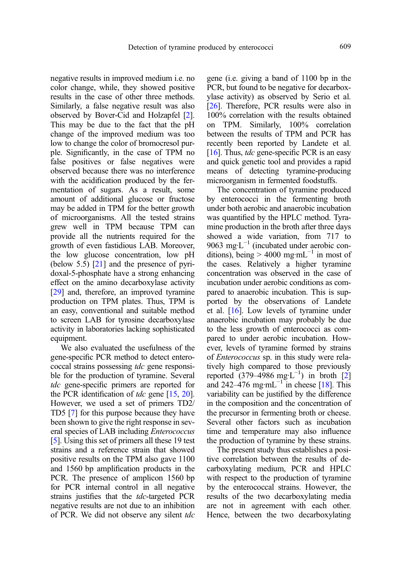negative results in improved medium i.e. no color change, while, they showed positive results in the case of other three methods. Similarly, a false negative result was also observed by Bover-Cid and Holzapfel [\[2\]](#page-9-0). This may be due to the fact that the pH change of the improved medium was too low to change the color of bromocresol purple. Significantly, in the case of TPM no false positives or false negatives were observed because there was no interference with the acidification produced by the fermentation of sugars. As a result, some amount of additional glucose or fructose may be added in TPM for the better growth of microorganisms. All the tested strains grew well in TPM because TPM can provide all the nutrients required for the growth of even fastidious LAB. Moreover, the low glucose concentration, low pH (below 5.5)  $[21]$  and the presence of pyridoxal-5-phosphate have a strong enhancing effect on the amino decarboxylase activity [[29](#page-10-0)] and, therefore, an improved tyramine production on TPM plates. Thus, TPM is an easy, conventional and suitable method to screen LAB for tyrosine decarboxylase activity in laboratories lacking sophisticated equipment.

We also evaluated the usefulness of the gene-specific PCR method to detect enterococcal strains possessing tdc gene responsible for the production of tyramine. Several tdc gene-specific primers are reported for the PCR identification of *tdc* gene [\[15,](#page-10-0) [20](#page-10-0)]. However, we used a set of primers TD2/ TD5 [\[7](#page-9-0)] for this purpose because they have been shown to give the right response in several species of LAB including Enterococcus [[5](#page-9-0)]. Using this set of primers all these 19 test strains and a reference strain that showed positive results on the TPM also gave 1100 and 1560 bp amplification products in the PCR. The presence of amplicon 1560 bp for PCR internal control in all negative strains justifies that the *tdc*-targeted PCR negative results are not due to an inhibition of PCR. We did not observe any silent *tdc*  gene (i.e. giving a band of 1100 bp in the PCR, but found to be negative for decarboxylase activity) as observed by Serio et al. [[26\]](#page-10-0). Therefore, PCR results were also in 100% correlation with the results obtained TPM. Similarly, 100% correlation between the results of TPM and PCR has recently been reported by Landete et al. [[16\]](#page-10-0). Thus, *tdc* gene-specific PCR is an easy and quick genetic tool and provides a rapid means of detecting tyramine-producing microorganism in fermented foodstuffs.

The concentration of tyramine produced by enterococci in the fermenting broth under both aerobic and anaerobic incubation was quantified by the HPLC method. Tyramine production in the broth after three days showed a wide variation, from 717 to 9063 mg·L<sup>-1</sup> (incubated under aerobic conditions), being > 4000 mg·mL<sup>-1</sup> in most of the cases. Relatively a higher tyramine concentration was observed in the case of incubation under aerobic conditions as compared to anaerobic incubation. This is supported by the observations of Landete et al. [\[16\]](#page-10-0). Low levels of tyramine under anaerobic incubation may probably be due to the less growth of enterococci as compared to under aerobic incubation. However, levels of tyramine formed by strains of Enterococcus sp. in this study were relatively high compared to those previously reported  $(379-4986 \text{ mg} \cdot \text{L}^{-1})$  in broth [[2\]](#page-9-0) and 242–476 mg·mL<sup> $-1$ </sup> in cheese [[18](#page-10-0)]. This variability can be justified by the difference in the composition and the concentration of the precursor in fermenting broth or cheese. Several other factors such as incubation time and temperature may also influence the production of tyramine by these strains.

The present study thus establishes a positive correlation between the results of decarboxylating medium, PCR and HPLC with respect to the production of tyramine by the enterococcal strains. However, the results of the two decarboxylating media are not in agreement with each other. Hence, between the two decarboxylating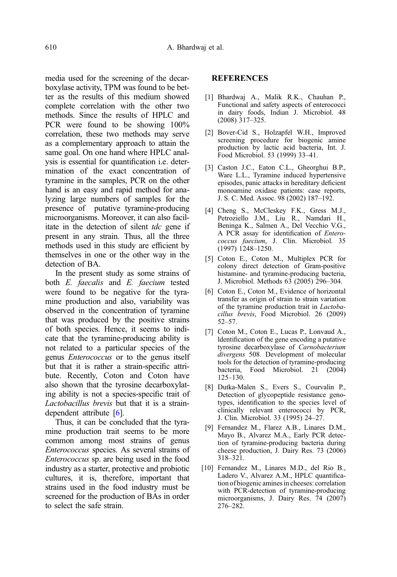<span id="page-9-0"></span>media used for the screening of the decarboxylase activity, TPM was found to be better as the results of this medium showed complete correlation with the other two methods. Since the results of HPLC and PCR were found to be showing 100% correlation, these two methods may serve as a complementary approach to attain the same goal. On one hand where HPLC analysis is essential for quantification i.e. determination of the exact concentration of tyramine in the samples, PCR on the other hand is an easy and rapid method for analyzing large numbers of samples for the presence of putative tyramine-producing microorganisms. Moreover, it can also facilitate in the detection of silent *tdc* gene if present in any strain. Thus, all the three methods used in this study are efficient by themselves in one or the other way in the detection of BA.

In the present study as some strains of both E. faecalis and E. faecium tested were found to be negative for the tyramine production and also, variability was observed in the concentration of tyramine that was produced by the positive strains of both species. Hence, it seems to indicate that the tyramine-producing ability is not related to a particular species of the genus Enterococcus or to the genus itself but that it is rather a strain-specific attribute. Recently, Coton and Coton have also shown that the tyrosine decarboxylating ability is not a species-specific trait of Lactobacillus brevis but that it is a straindependent attribute [6].

Thus, it can be concluded that the tyramine production trait seems to be more common among most strains of genus Enterococcus species. As several strains of Enterococcus sp. are being used in the food industry as a starter, protective and probiotic cultures, it is, therefore, important that strains used in the food industry must be screened for the production of BAs in order to select the safe strain.

#### **REFERENCES**

- [1] Bhardwaj A., Malik R.K., Chauhan P., Functional and safety aspects of enterococci in dairy foods, Indian J. Microbiol. 48 (2008) 317–325.
- [2] Bover-Cid S., Holzapfel W.H., Improved screening procedure for biogenic amine production by lactic acid bacteria, Int. J. Food Microbiol. 53 (1999) 33–41.
- [3] Caston J.C., Eaton C.L., Gheorghui B.P., Ware L.L., Tyramine induced hypertensive episodes, panic attacks in hereditary deficient monoamine oxidase patients: case reports, J. S. C. Med. Assoc. 98 (2002) 187–192.
- [4] Cheng S., McCleskey F.K., Gress M.J., Petroziello J.M., Liu R., Namdari H., Beninga K., Salmen A., Del Vecchio V.G., A PCR assay for identification of Enterococcus faecium, J. Clin. Microbiol. 35 (1997) 1248–1250.
- [5] Coton E., Coton M., Multiplex PCR for colony direct detection of Gram-positive histamine- and tyramine-producing bacteria, J. Microbiol. Methods 63 (2005) 296–304.
- [6] Coton E., Coton M., Evidence of horizontal transfer as origin of strain to strain variation of the tyramine production trait in Lactobacillus brevis, Food Microbiol. 26 (2009) 52–57.
- [7] Coton M., Coton E., Lucas P., Lonvaud A., ldentification of the gene encoding a putative tyrosine decarboxylase of Carnobacterium divergens 508. Development of molecular tools for the detection of tyramine-producing bacteria, Food Microbiol. 21 (2004) 125–130.
- [8] Dutka-Malen S., Evers S., Courvalin P., Detection of glycopeptide resistance genotypes, identification to the species level of clinically relevant enterococci by PCR, J. Clin. Microbiol. 33 (1995) 24–27.
- [9] Fernandez M., Flarez A.B., Linares D.M., Mayo B., Alvarez M.A., Early PCR detection of tyramine-producing bacteria during cheese production, J. Dairy Res. 73 (2006) 318–321.
- [10] Fernandez M., Linares M.D., del Rio B., Ladero V., Alvarez A.M., HPLC quantification of biogenic amines in cheeses: correlation with PCR-detection of tyramine-producing microorganisms, J. Dairy Res. 74 (2007) 276–282.